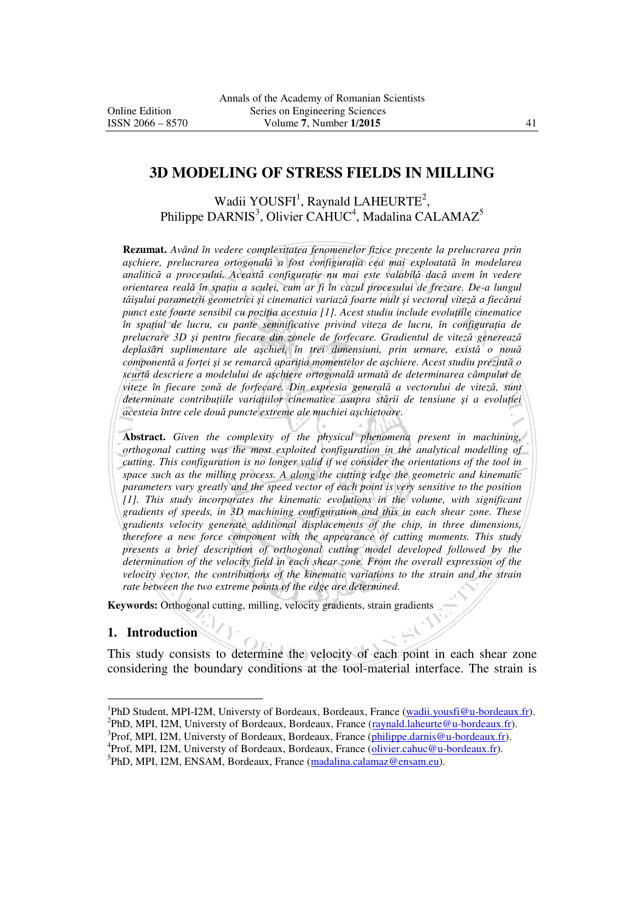#### **3D MODELING OF STRESS FIELDS IN MILLING**

Wadii YOUSFI<sup>1</sup>, Raynald LAHEURTE<sup>2</sup>, Philippe DARNIS<sup>3</sup>, Olivier CAHUC<sup>4</sup>, Madalina CALAMAZ<sup>5</sup>

**Rezumat.** *Având în vedere complexitatea fenomenelor fizice prezente la prelucrarea prin aşchiere, prelucrarea ortogonală a fost configuraŃia cea mai exploatată în modelarea analitică a procesului. Această configuraŃie nu mai este valabilă dacă avem în vedere orientarea reală în spaŃiu a sculei, cum ar fi în cazul procesului de frezare. De-a lungul tăişului parametrii geometrici şi cinematici variază foarte mult şi vectorul viteză a fiecărui punct este foarte sensibil cu poziția acestuia [1]. Acest studiu include evoluțiile cinematice în spațiul de lucru, cu pante semnificative privind viteza de lucru, în configurația de prelucrare 3D şi pentru fiecare din zonele de forfecare. Gradientul de viteză generează deplasări suplimentare ale aşchiei, în trei dimensiuni, prin urmare, există o nouă componentă a forŃei şi se remarcă apariŃia momentelor de aşchiere. Acest studiu prezintă o scurtă descriere a modelului de aşchiere ortogonală urmată de determinarea câmpului de viteze în fiecare zonă de forfecare. Din expresia generală a vectorului de viteză, sunt*   $\alpha$ *determinate contributiile variatiilor cinematice asupra stării de tensiune și a evolutiei acesteia între cele două puncte extreme ale muchiei aşchietoare.* 

**Abstract.** *Given the complexity of the physical phenomena present in machining, orthogonal cutting was the most exploited configuration in the analytical modelling of cutting. This configuration is no longer valid if we consider the orientations of the tool in space such as the milling process. A along the cutting edge the geometric and kinematic parameters vary greatly and the speed vector of each point is very sensitive to the position [1]. This study incorporates the kinematic evolutions in the volume, with significant gradients of speeds, in 3D machining configuration and this in each shear zone. These gradients velocity generate additional displacements of the chip, in three dimensions, therefore a new force component with the appearance of cutting moments. This study presents a brief description of orthogonal cutting model developed followed by the determination of the velocity field in each shear zone. From the overall expression of the velocity vector, the contributions of the kinematic variations to the strain and the strain rate between the two extreme points of the edge are determined.*

**Keywords:** Orthogonal cutting, milling, velocity gradients, strain gradients

#### **1. Introduction**

 $\overline{a}$ 

This study consists to determine the velocity of each point in each shear zone considering the boundary conditions at the tool-material interface. The strain is

<sup>3</sup>Prof, MPI, I2M, Universty of Bordeaux, Bordeaux, France (*philippe.darnis@u-bordeaux.fr*). <sup>4</sup>Prof, MPI, I2M, Universty of Bordeaux, Bordeaux, France (olivier.cahuc@u-bordeaux.fr).

<sup>&</sup>lt;sup>1</sup>PhD Student, MPI-I2M, Universty of Bordeaux, Bordeaux, France (wadii.yousfi@u-bordeaux.fr).

<sup>&</sup>lt;sup>2</sup>PhD, MPI, I2M, Universty of Bordeaux, Bordeaux, France (raynald.laheurte@u-bordeaux.fr).

<sup>&</sup>lt;sup>5</sup>PhD, MPI, I2M, ENSAM, Bordeaux, France (madalina.calamaz@ensam.eu).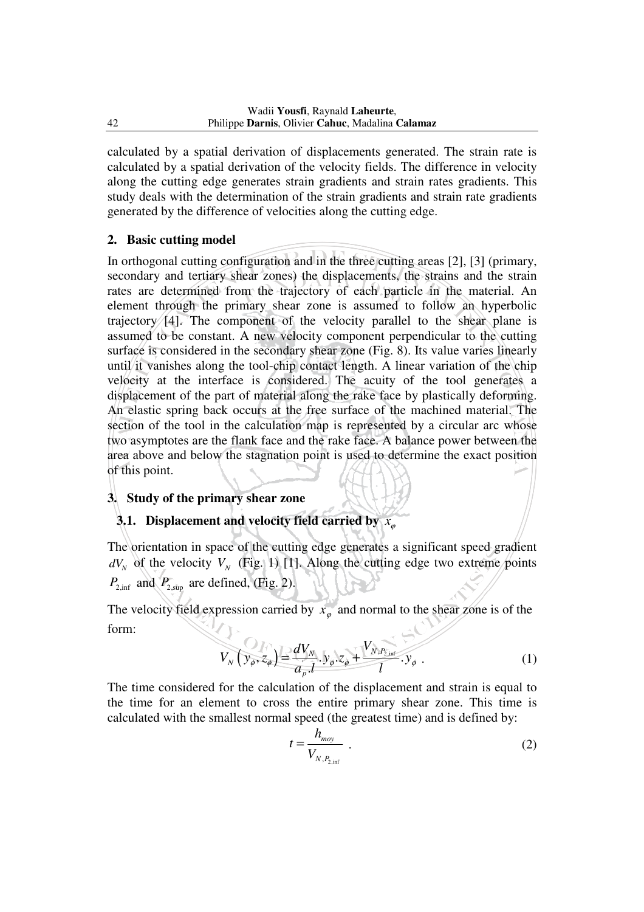calculated by a spatial derivation of displacements generated. The strain rate is calculated by a spatial derivation of the velocity fields. The difference in velocity along the cutting edge generates strain gradients and strain rates gradients. This study deals with the determination of the strain gradients and strain rate gradients generated by the difference of velocities along the cutting edge.

#### **2. Basic cutting model**

In orthogonal cutting configuration and in the three cutting areas [2], [3] (primary, secondary and tertiary shear zones) the displacements, the strains and the strain rates are determined from the trajectory of each particle in the material. An element through the primary shear zone is assumed to follow an hyperbolic trajectory [4]. The component of the velocity parallel to the shear plane is assumed to be constant. A new velocity component perpendicular to the cutting surface is considered in the secondary shear zone (Fig. 8). Its value varies linearly until it vanishes along the tool-chip contact length. A linear variation of the chip velocity at the interface is considered. The acuity of the tool generates a displacement of the part of material along the rake face by plastically deforming. An elastic spring back occurs at the free surface of the machined material. The section of the tool in the calculation map is represented by a circular arc whose two asymptotes are the flank face and the rake face. A balance power between the area above and below the stagnation point is used to determine the exact position of this point.

#### **3. Study of the primary shear zone**

#### **3.1. Displacement and velocity field carried by**  $x_{\varphi}$

The orientation in space of the cutting edge generates a significant speed gradient  $dV_N$  of the velocity  $V_N$  (Fig. 1) [1]. Along the cutting edge two extreme points  $P_{2,\text{inf}}$  and  $P_{2,\text{sup}}$  are defined, (Fig. 2).

The velocity field expression carried by  $x_{\varphi}$  and normal to the shear zone is of the form:

$$
V_N(y_{\phi}, z_{\phi}) = \frac{dV_N}{a_p l} \cdot y_{\phi} \cdot z_{\phi} + \frac{V_{N, P_{2, \text{inf}}}}{l} \cdot y_{\phi} \tag{1}
$$

The time considered for the calculation of the displacement and strain is equal to the time for an element to cross the entire primary shear zone. This time is calculated with the smallest normal speed (the greatest time) and is defined by:

$$
t = \frac{h_{\text{mov}}}{V_{N, P_{2, \text{inf}}}} \tag{2}
$$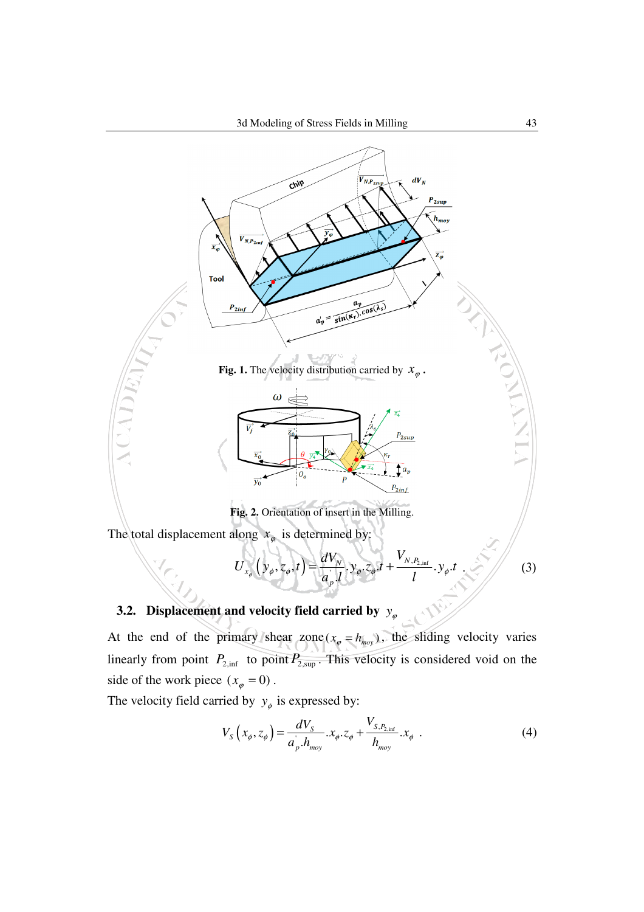

# **3.2. Displacement and velocity field carried by**  $y_{\varphi}$

At the end of the primary shear zone ( $x_{\varphi} = h_{moy}$ ), the sliding velocity varies linearly from point  $P_{2,\text{inf}}$  to point  $P_{2,\text{sup}}$ . This velocity is considered void on the side of the work piece  $(x_{\varphi} = 0)$ .

The velocity field carried by  $y_{\phi}$  is expressed by:

$$
V_{S}\left(x_{\phi}, z_{\phi}\right) = \frac{dV_{S}}{a_{p}.h_{\text{mov}}} . x_{\phi}. z_{\phi} + \frac{V_{S,P_{2,\text{inf}}}}{h_{\text{mov}}} . x_{\phi} . \tag{4}
$$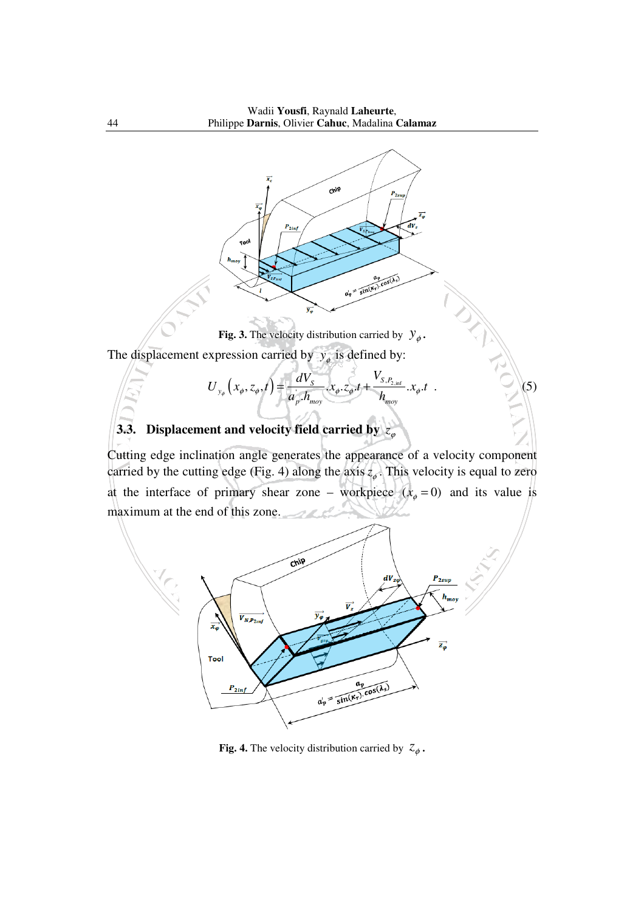

**Fig. 3.** The velocity distribution carried by  $y_{\phi}$ .

The displacement expression carried by  $y_{\phi}$  is defined by:

$$
U_{y_{\phi}}\left(x_{\phi}, z_{\phi}, t\right) = \frac{dV_{S}}{a_{p}.h_{\text{mov}}} x_{\phi}.z_{\phi}.t + \frac{V_{S, P_{2,\text{inf}}}}{h_{\text{mov}}} x_{\phi}.t \tag{5}
$$

# **3.3.** Displacement and velocity field carried by  $z_a$

Cutting edge inclination angle generates the appearance of a velocity component carried by the cutting edge (Fig. 4) along the axis  $z_{\varphi}$ . This velocity is equal to zero at the interface of primary shear zone – workpiece  $(x_{\phi} = 0)$  and its value is maximum at the end of this zone.



**Fig. 4.** The velocity distribution carried by  $z_{\phi}$ .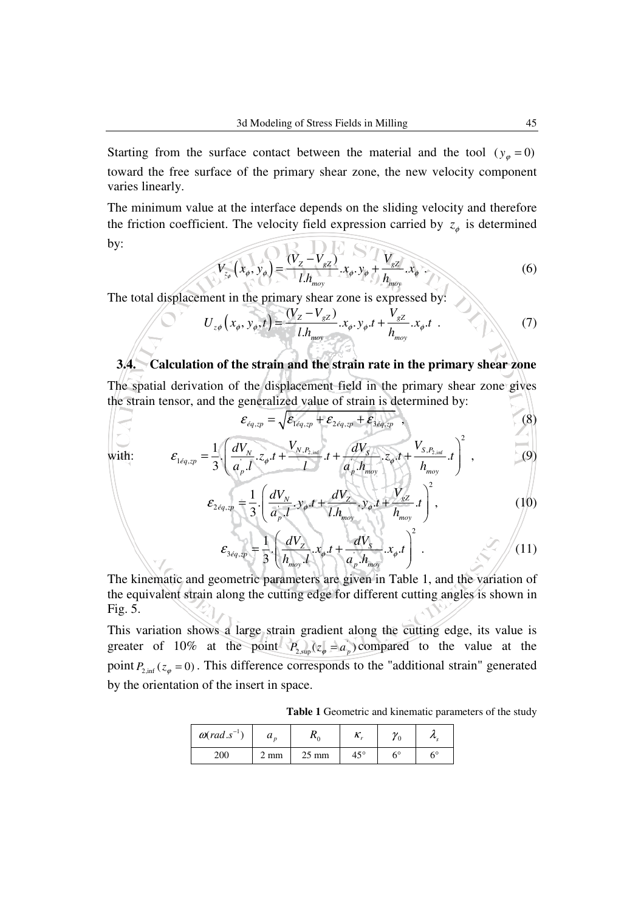Starting from the surface contact between the material and the tool ( $y_{\varphi} = 0$ ) toward the free surface of the primary shear zone, the new velocity component varies linearly.

The minimum value at the interface depends on the sliding velocity and therefore the friction coefficient. The velocity field expression carried by  $z_{\phi}$  is determined  $\Omega$  DE  $\Omega$ by:

$$
V_{z_{\phi}}(x_{\phi}, y_{\phi}) = \frac{(V_{z} - V_{gz})}{l.h_{moy}} . x_{\phi} . y_{\phi} + \frac{V_{gz}}{h_{moy}} . x_{\phi} . \qquad (6)
$$

The total displacement in the primary shear zone is expressed by:

$$
U_{z\phi}\left(x_{\phi}, y_{\phi}, t\right) = \frac{(V_{z} - V_{gz})}{l.h_{\text{mov}}} x_{\phi}, y_{\phi}. t + \frac{V_{gz}}{h_{\text{mov}}} x_{\phi}. t
$$
 (7)

# **3.4. Calculation of the strain and the strain rate in the primary shear zone**  The spatial derivation of the displacement field in the primary shear zone gives

the strain tensor, and the generalized value of strain is determined by:

$$
\varepsilon_{\acute{e}q,2p} = \sqrt{\varepsilon_{1\acute{e}q,2p} + \varepsilon_{2\acute{e}q,2p} + \varepsilon_{3\acute{e}q,2p}} \tag{8}
$$

with: 
$$
\mathcal{E}_{1\acute{e}q, zp} = \frac{1}{3} \cdot \left( \frac{dV_N}{a_p \cdot l} \cdot z_{\phi} \cdot t + \frac{V_{N, P_{2, \text{inf}}}}{l} \cdot t + \frac{dV_S}{a_p \cdot h_{\text{mov}}} \cdot z_{\phi} \cdot t + \frac{V_{S, P_{2, \text{inf}}}}{h_{\text{mov}}} \cdot t \right)^2, \tag{9}
$$

$$
\mathcal{E}_{2\acute{e}q,sp} = \frac{1}{3} \left( \frac{dV_N}{a_p \cdot l} \cdot y_\phi \cdot t + \frac{dV_Z}{l \cdot h_{moy}} \cdot y_\phi \cdot t + \frac{V_{gZ}}{h_{moy}} \cdot t \right)^2, \tag{10}
$$

$$
\varepsilon_{3\epsilon q, xp} = \frac{1}{3} \left( \frac{dV_z}{h_{mov}!} x_{\phi} t + \frac{dV_s}{a_p \cdot h_{mov}} x_{\phi} t \right)^2.
$$
 (11)

The kinematic and geometric parameters are given in Table 1, and the variation of the equivalent strain along the cutting edge for different cutting angles is shown in Fig. 5.

This variation shows a large strain gradient along the cutting edge, its value is greater of 10% at the point  $P_{2, \text{sup}}(z_{\varphi} = a_{p})$  compared to the value at the point  $P_{2,\text{inf}}(z_{\varphi}=0)$ . This difference corresponds to the "additional strain" generated by the orientation of the insert in space.

**Table 1** Geometric and kinematic parameters of the study

| $\omega$ (rad.s <sup>-1</sup> ) | и    |                 | 73.          |    |    |
|---------------------------------|------|-----------------|--------------|----|----|
| 200                             | . mm | $25 \text{ mm}$ | $45^{\circ}$ | 60 | 60 |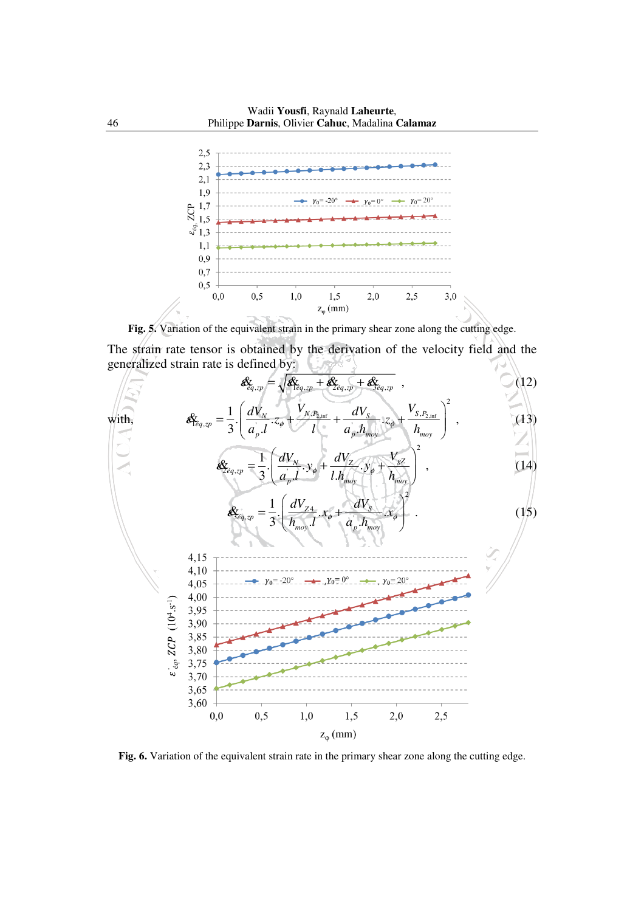

**Fig. 5.** Variation of the equivalent strain in the primary shear zone along the cutting edge.

The strain rate tensor is obtained by the derivation of the velocity field and the generalized strain rate is defined by:



Fig. 6. Variation of the equivalent strain rate in the primary shear zone along the cutting edge.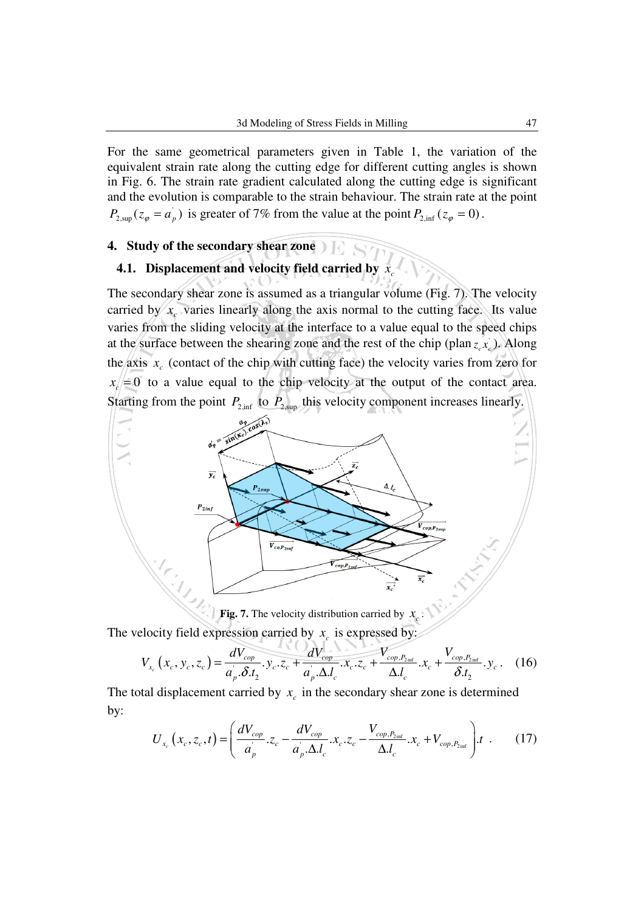For the same geometrical parameters given in Table 1, the variation of the equivalent strain rate along the cutting edge for different cutting angles is shown in Fig. 6. The strain rate gradient calculated along the cutting edge is significant and the evolution is comparable to the strain behaviour. The strain rate at the point  $P_{2, \text{sup}}(z_{\varphi} = a_{p}^{T})$  is greater of 7% from the value at the point  $P_{2, \text{inf}}(z_{\varphi} = 0)$ .

#### **4. Study of the secondary shear zone**

#### **4.1.** Displacement and velocity field carried by  $x_c$

The secondary shear zone is assumed as a triangular volume (Fig. 7). The velocity carried by  $x_c$  varies linearly along the axis normal to the cutting face. Its value varies from the sliding velocity at the interface to a value equal to the speed chips at the surface between the shearing zone and the rest of the chip (plan  $z_c x_c$ ). Along the axis  $x_c$  (contact of the chip with cutting face) the velocity varies from zero for  $x_c = 0$  to a value equal to the chip velocity at the output of the contact area. Starting from the point  $P_{2,\text{inf}}$  to  $P_{2,\text{sup}}$  this velocity component increases linearly.



**Fig. 7.** The velocity distribution carried by  $x_c$ .

The velocity field expression carried by  $x_c$  is expressed by:

$$
V_{x_c}(x_c, y_c, z_c) = \frac{dV_{cop}}{a_p \delta t_2} \cdot y_c \cdot z_c + \frac{dV_{cop}}{a_p \Delta t_c} \cdot x_c \cdot z_c + \frac{V_{cop, P_{2inf}}}{\Delta t_c} \cdot x_c + \frac{V_{cop, P_{2inf}}}{\delta t_2} \cdot y_c \tag{16}
$$

The total displacement carried by  $x_c$  in the secondary shear zone is determined by:

$$
U_{x_c}(x_c, z_c, t) = \left(\frac{dV_{cop}}{a_p} \cdot z_c - \frac{dV_{cop}}{a_p \cdot \Delta I_c} \cdot x_c \cdot z_c - \frac{V_{cop, P_{2inf}}}{\Delta I_c} \cdot x_c + V_{cop, P_{2inf}}\right) \cdot t \quad . \tag{17}
$$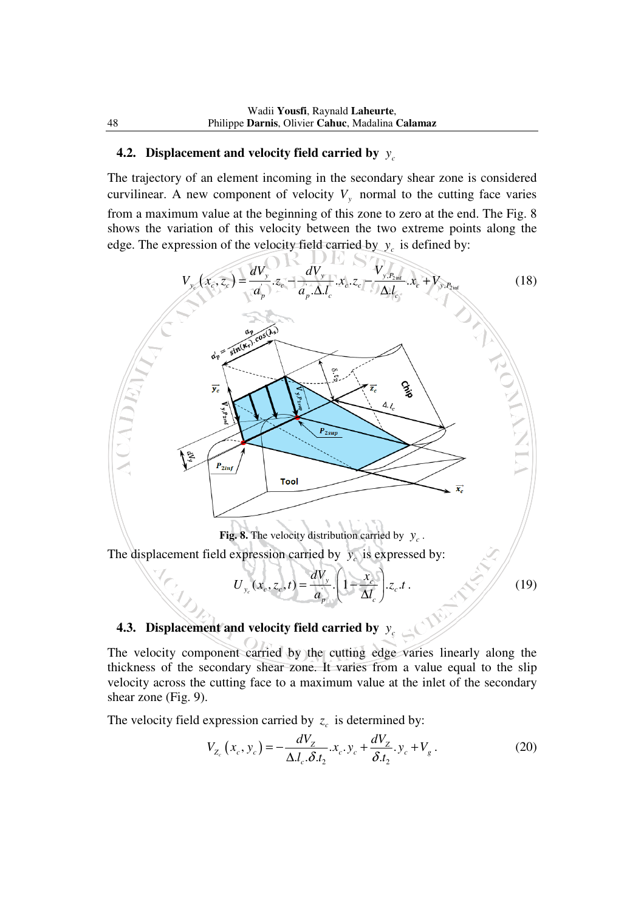# **4.2.** Displacement and velocity field carried by  $y_c$

The trajectory of an element incoming in the secondary shear zone is considered curvilinear. A new component of velocity  $V_y$  normal to the cutting face varies from a maximum value at the beginning of this zone to zero at the end. The Fig. 8 shows the variation of this velocity between the two extreme points along the edge. The expression of the velocity field carried by  $y_c$  is defined by:



### **4.3.** Displacement and velocity field carried by  $y_c$

The velocity component carried by the cutting edge varies linearly along the thickness of the secondary shear zone. It varies from a value equal to the slip velocity across the cutting face to a maximum value at the inlet of the secondary shear zone (Fig. 9).

The velocity field expression carried by  $z_c$  is determined by:

$$
V_{Z_c}\left(x_c, y_c\right) = -\frac{dV_Z}{\Delta l_c \cdot \delta t_2} . x_c . y_c + \frac{dV_Z}{\delta t_2} . y_c + V_g \,. \tag{20}
$$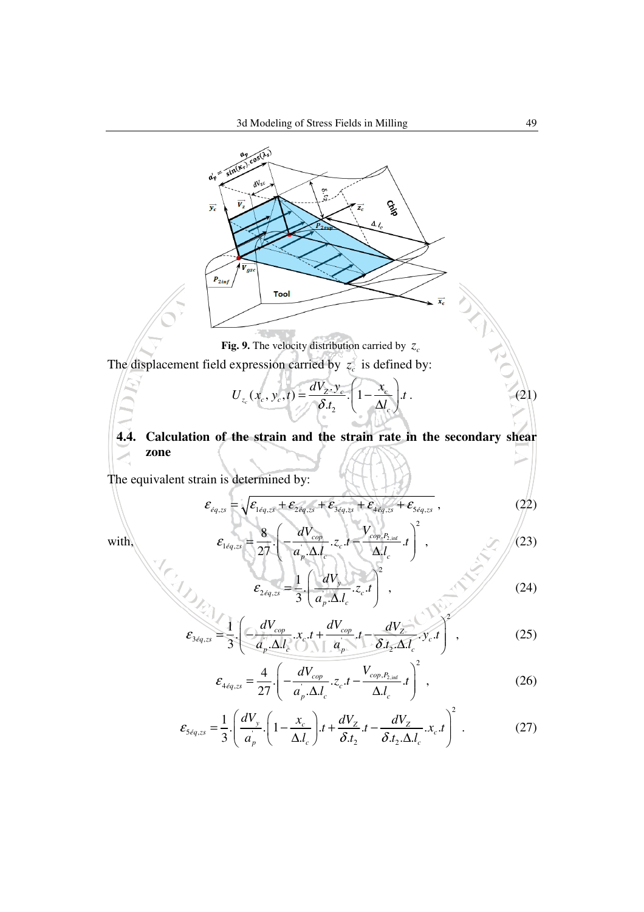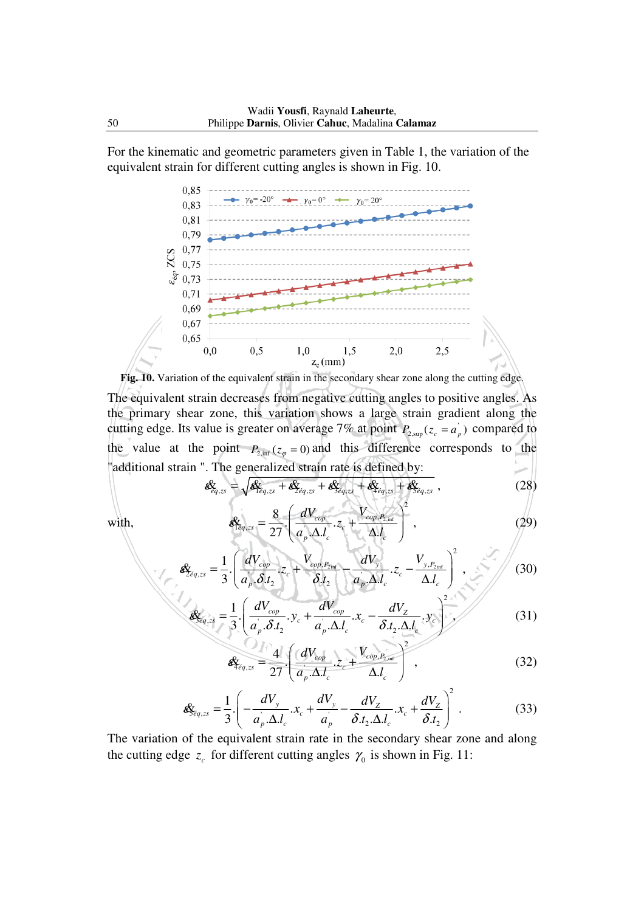For the kinematic and geometric parameters given in Table 1, the variation of the equivalent strain for different cutting angles is shown in Fig. 10.





ε

$$
\mathbf{E}_{\acute{e}q,zs} = \sqrt{\mathbf{E}_{\acute{e}q,zs} + \mathbf{E}_{\acute{e}q,zs} + \mathbf{E}_{\acute{e}q,zs} + \mathbf{E}_{\acute{e}q,zs} + \mathbf{E}_{\acute{e}q,zs}} + \mathbf{E}_{\acute{e}q,zs}}
$$
\n(28)

with, 
$$
\mathcal{E}_{\text{Eq,zs}} = \frac{8}{27} \left( \frac{dV_{\text{cop}}}{a_p \Delta l_c} z_c + \frac{V_{\text{cop}, P_{2,\text{inf}}}}{\Delta l_c} \right)^2, \qquad (29)
$$

$$
\mathcal{E}_{Z_{eq,zs}} = \frac{1}{3} \cdot \left( \frac{dV_{cop}}{a_p \cdot \delta \cdot t_2} \cdot z_c + \frac{V_{cop,P_{2int}}}{\delta \cdot t_2} - \frac{dV_y}{a_p \cdot \Delta \cdot t_c} \cdot z_c - \frac{V_{y,P_{2int}}}{\Delta \cdot t_c} \right)^2 ,
$$
 (30)

$$
\mathcal{A}_{\delta q,z\delta} = \frac{1}{3} \left( \frac{dV_{cop}}{a_p \cdot \delta t_2} \cdot y_c + \frac{dV_{cop}}{a_p \cdot \Delta t_c} \cdot x_c - \frac{dV_z}{\delta t_2 \cdot \Delta t_c} \cdot y_c \right)^2 \tag{31}
$$

$$
\mathbf{\hat{g}}_{\hat{t}q,zs} = \frac{4}{27} \left( \frac{dV_{cop}}{a_p \cdot \Delta. l_c} z_c + \frac{V_{cop,P_{2,\text{inf}}}}{\Delta. l_c} \right)^2, \qquad (32)
$$

$$
\mathbf{g}_{\mathcal{S}_{eq,zs}} = \frac{1}{3} \cdot \left( -\frac{dV_y}{a_p \cdot \Delta J_c} . x_c + \frac{dV_y}{a_p} - \frac{dV_z}{\delta . t_2 \cdot \Delta J_c} . x_c + \frac{dV_z}{\delta . t_2} \right)^2.
$$
(33)

The variation of the equivalent strain rate in the secondary shear zone and along the cutting edge  $z_c$  for different cutting angles  $\gamma_0$  is shown in Fig. 11: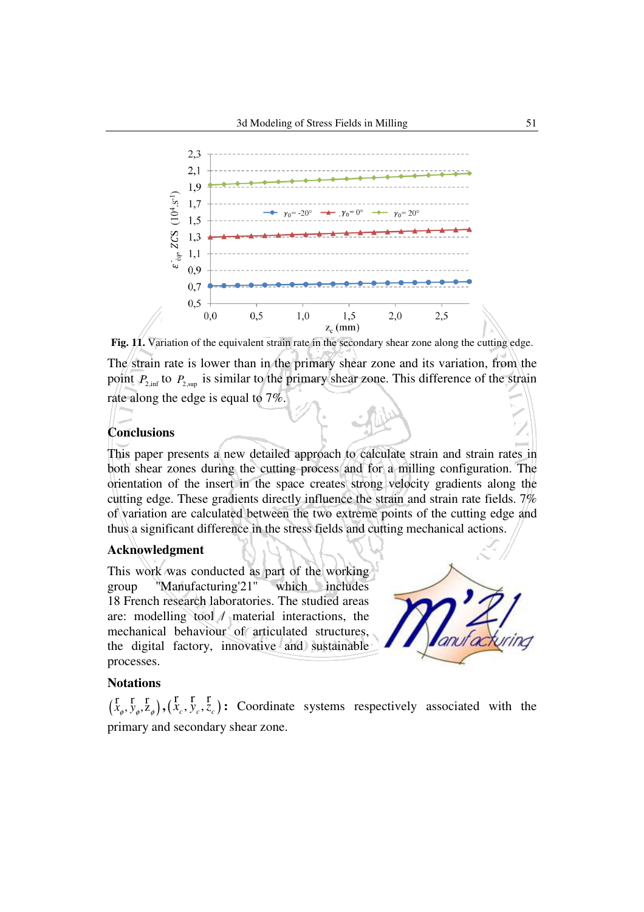



#### **Conclusions**

This paper presents a new detailed approach to calculate strain and strain rates in both shear zones during the cutting process and for a milling configuration. The orientation of the insert in the space creates strong velocity gradients along the cutting edge. These gradients directly influence the strain and strain rate fields. 7% of variation are calculated between the two extreme points of the cutting edge and thus a significant difference in the stress fields and cutting mechanical actions.

#### **Acknowledgment**

This work was conducted as part of the working group ''Manufacturing'21'' which includes 18 French research laboratories. The studied areas are: modelling tool / material interactions, the mechanical behaviour of articulated structures, the digital factory, innovative and sustainable processes.



#### **Notations**

 $(\begin{matrix} \n\Gamma & \Gamma & \Gamma \\ \n\chi_{\phi}, \gamma_{\phi}, Z_{\phi} \n\end{matrix}), (\begin{matrix} \n\Gamma & \Gamma & \Gamma \\ \n\chi_{c}, \gamma_{c}, Z_{c} \n\end{matrix})$ : Coordinate systems respectively associated with the primary and secondary shear zone.